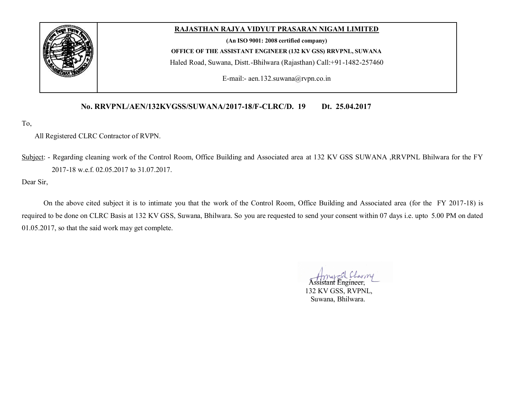

## **RAJASTHAN RAJYA VIDYUT PRASARAN NIGAM LIMITED**

**(An ISO 9001: 2008 certified company)**

**OFFICE OF THE ASSISTANT ENGINEER (132 KV GSS) RRVPNL, SUWANA**

Haled Road, Suwana, Distt.-Bhilwara (Rajasthan) Call:+91-1482-257460

E-mail:- aen.132.suwana@rvpn.co.in

### **No. RRVPNL/AEN/132KVGSS/SUWANA/2017-18/F-CLRC/D. 19 Dt. 25.04.2017**

To,

#### All Registered CLRC Contractor of RVPN.

Subject: - Regarding cleaning work of the Control Room, Office Building and Associated area at 132 KV GSS SUWANA ,RRVPNL Bhilwara for the FY 2017-18 w.e.f. 02.05.2017 to 31.07.2017.

Dear Sir,

On the above cited subject it is to intimate you that the work of the Control Room, Office Building and Associated area (for the FY 2017-18) is required to be done on CLRC Basis at 132 KV GSS, Suwana, Bhilwara. So you are requested to send your consent within 07 days i.e. upto 5.00 PM on dated 01.05.2017, so that the said work may get complete.

Assistant Engineer,

 132 KV GSS, RVPNL, Suwana, Bhilwara.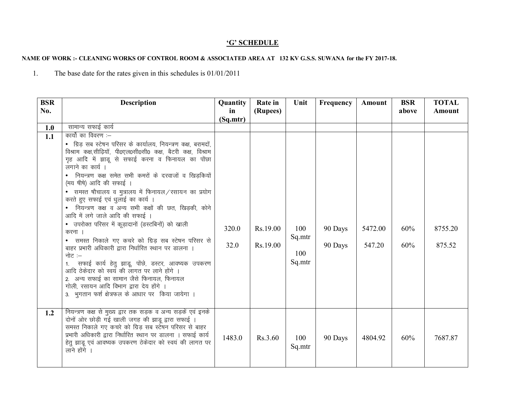# 'G' SCHEDULE

## NAME OF WORK :- CLEANING WORKS OF CONTROL ROOM & ASSOCIATED AREA AT 132 KV G.S.S. SUWANA for the FY 2017-18.

The base date for the rates given in this schedules is  $01/01/2011$  $1.$ 

| <b>BSR</b><br>No. | Description                                                                                                                                                                                                                                                                                                                                                                                                                                                                                                                                                                                                                                                                                                                                                                                                                                                                                                                                            | Quantity<br>in | Rate in<br>(Rupees)  | Unit                           | Frequency          | Amount            | <b>BSR</b><br>above | <b>TOTAL</b><br>Amount |
|-------------------|--------------------------------------------------------------------------------------------------------------------------------------------------------------------------------------------------------------------------------------------------------------------------------------------------------------------------------------------------------------------------------------------------------------------------------------------------------------------------------------------------------------------------------------------------------------------------------------------------------------------------------------------------------------------------------------------------------------------------------------------------------------------------------------------------------------------------------------------------------------------------------------------------------------------------------------------------------|----------------|----------------------|--------------------------------|--------------------|-------------------|---------------------|------------------------|
|                   |                                                                                                                                                                                                                                                                                                                                                                                                                                                                                                                                                                                                                                                                                                                                                                                                                                                                                                                                                        | (Sq.mtr)       |                      |                                |                    |                   |                     |                        |
| 1.0               | सामान्य सफाई कार्य                                                                                                                                                                                                                                                                                                                                                                                                                                                                                                                                                                                                                                                                                                                                                                                                                                                                                                                                     |                |                      |                                |                    |                   |                     |                        |
| 1.1               | कार्यो का विवरण :—<br>• ग्रिड सब स्टेषन परिसर के कार्यालय, नियन्त्रण कक्ष, बरामदों,<br>विश्राम कक्ष,सीढ़ियॉ, पी0एल0सी0सी0 कक्ष, बैटरी कक्ष, विश्राम<br>गृह आदि में झाडू से सफाई करना व फिनायल का पोंछा<br>लगाने का कार्य ।<br>• नियन्त्रण कक्ष समेत सभी कमरों के दरवाजों व खिड़कियों<br>(मय षीषे) आदि की सफाई ।<br>• समस्त षौचालय व मुत्रालय में फिनायल/रसायन का प्रयोग<br>करते हुए सफाई एवं धुलाई का कार्य ।<br>• नियन्त्रण कक्ष व अन्य सभी कक्षों की छत, खिड़की, कोने<br>आदि में लगे जाले आदि की सफाई ।<br>• उपरोक्त परिसर में कूड़ादानों (डस्टबिनों) को खाली<br>करना<br>• समस्त निकाले गए कचरे को ग्रिड़ सब स्टेषन परिसर से<br>बाहर प्रभारी अधिकारी द्वारा निर्धारित स्थान पर डालना ।<br>नोट $:=$<br>सफाई कार्य हेतु झाडू, पोंछे, डस्टर, आवष्यक उपकरण<br>आदि ठेकेदार को स्वयं की लागत पर लाने होंगे ।<br>2. अन्य सफाई का सामान जैसे फिनायल, फिनायल<br>गोली, रसायन आदि विभाग द्वारा देय होंगे ।<br>3. भुगतान फर्श क्षेत्रफल के आधार पर किया जायेगा । | 320.0<br>32.0  | Rs.19.00<br>Rs.19.00 | 100<br>Sq.mtr<br>100<br>Sq.mtr | 90 Days<br>90 Days | 5472.00<br>547.20 | 60%<br>60%          | 8755.20<br>875.52      |
| 1.2               | नियन्त्रण कक्ष से मुख्य द्वार तक सड़क व अन्य सड़कें एवं इनके<br>दोनों ओर छोड़ी गई खाली जगह की झाडू द्वारा सफाई ।<br>समस्त निकाले गए कचरे को ग्रिड़ सब स्टेषन परिसर से बाहर<br>प्रभारी अधिकारी द्वारा निर्धारित स्थान पर डालना । सफाई कार्य<br>हेतु झाडू एवं आवष्यक उपकरण ठेकेदार को स्वयं की लागत पर<br>लाने होंगे ।                                                                                                                                                                                                                                                                                                                                                                                                                                                                                                                                                                                                                                   | 1483.0         | Rs.3.60              | 100<br>Sq.mtr                  | 90 Days            | 4804.92           | 60%                 | 7687.87                |